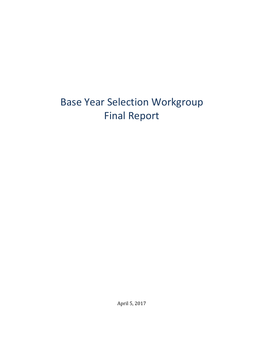# Base Year Selection Workgroup Final Report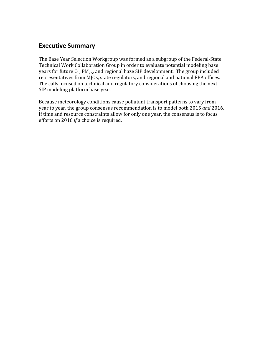#### **Executive Summary**

The Base Year Selection Workgroup was formed as a subgroup of the Federal-State Technical Work Collaboration Group in order to evaluate potential modeling base years for future  ${\rm O}_{3}$ , PM $_{2.5}$ , and regional haze SIP development. The group included representatives from MJOs, state regulators, and regional and national EPA offices. The calls focused on technical and regulatory considerations of choosing the next SIP modeling platform base year.

Because meteorology conditions cause pollutant transport patterns to vary from year to year, the group consensus recommendation is to model both 2015 *and* 2016. If time and resource constraints allow for only one year, the consensus is to focus efforts on 2016 *if* a choice is required.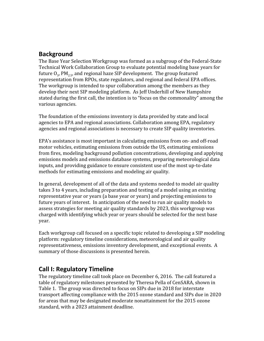#### **Background**

The Base Year Selection Workgroup was formed as a subgroup of the Federal-State Technical Work Collaboration Group to evaluate potential modeling base years for future  $\mathrm{O}_3$ , PM $_{2.5}$ , and regional haze SIP development. The group featured representation from RPOs, state regulators, and regional and federal EPA offices. The workgroup is intended to spur collaboration among the members as they develop their next SIP modeling platform. As Jeff Underhill of New Hampshire stated during the first call, the intention is to "focus on the commonality" among the various agencies.

The foundation of the emissions inventory is data provided by state and local agencies to EPA and regional associations. Collaboration among EPA, regulatory agencies and regional associations is necessary to create SIP quality inventories.

EPA's assistance is most important in calculating emissions from on- and off-road motor vehicles, estimating emissions from outside the US, estimating emissions from fires, modeling background pollution concentrations, developing and applying emissions models and emissions database systems, preparing meteorological data inputs, and providing guidance to ensure consistent use of the most up-to-date methods for estimating emissions and modeling air quality.

In general, development of all of the data and systems needed to model air quality takes 3 to 4 years, including preparation and testing of a model using an existing representative year or years (a base year or years) and projecting emissions to future years of interest. In anticipation of the need to run air quality models to assess strategies for meeting air quality standards by 2023, this workgroup was charged with identifying which year or years should be selected for the next base year.

Each workgroup call focused on a specific topic related to developing a SIP modeling platform: regulatory timeline considerations, meteorological and air quality representativeness, emissions inventory development, and exceptional events. A summary of those discussions is presented herein.

#### **Call I: Regulatory Timeline**

The regulatory timeline call took place on December 6, 2016. The call featured a table of regulatory milestones presented by Theresa Pella of CenSARA, shown in Table 1. The group was directed to focus on SIPs due in 2018 for interstate transport affecting compliance with the 2015 ozone standard and SIPs due in 2020 for areas that may be designated moderate nonattainment for the 2015 ozone standard, with a 2023 attainment deadline.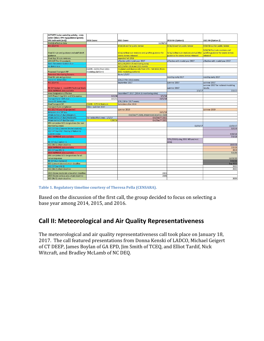| <b>ACTIVITY (color coded by activity - state</b>                       |                                                |                                                                                 |                                                                                |                                                                                   |
|------------------------------------------------------------------------|------------------------------------------------|---------------------------------------------------------------------------------|--------------------------------------------------------------------------------|-----------------------------------------------------------------------------------|
| action (blue); EPA reg/guidance (green);                               |                                                |                                                                                 |                                                                                |                                                                                   |
| EPA tech work (red))                                                   | 2008 Ozone                                     | 2015 Ozone                                                                      | 2018 RH (Option1)                                                              | 2021 RH (Option 2)                                                                |
| <b>NAAQS</b> effective date                                            |                                                | 12/28/15                                                                        |                                                                                |                                                                                   |
| <b>NEI 2014 V1</b>                                                     |                                                | 9/16/16 out for public review                                                   | 9/16/16 out for public review                                                  | 9/16/16 out for public review                                                     |
| Final EE rule and guidance and add'l draft<br>guidance                 |                                                | 9/16/16 final rule revisions and wildfire guidance for<br>ozone demos released  | 9/16/16 final rule revisions and wildfire<br>guidance for ozone demos released | 9/16/16 final rule revisions and<br>wildfire guidance for ozone demos<br>released |
| <b>Final App W rule revisions</b>                                      |                                                | expected fall 2016                                                              |                                                                                |                                                                                   |
| <b>LDV/LDT Tier III standards</b>                                      |                                                | effective with model year 2017                                                  | effective with model year 2017                                                 | effective with model year 2017                                                    |
| <b>State Recommendations Due</b>                                       |                                                | 10/1/16 (2013-15 monitoring data)                                               |                                                                                |                                                                                   |
| EE demos due                                                           |                                                | 10/1/16 for 2014 and 2015 events                                                |                                                                                |                                                                                   |
| <b>Proposed Transport FIP</b>                                          | CSAPR - 11/15 (from 2011<br>modeling platform) | modeled contribution info from EPA - fall 2016 (from<br>2011 modeling platform) |                                                                                |                                                                                   |
| <b>Extended Monitoring Seasons</b>                                     |                                                | <b>Starts 1/1/17</b>                                                            |                                                                                |                                                                                   |
| Final RH rule and guidance                                             |                                                |                                                                                 | need by early 2017                                                             | need by early 2017                                                                |
| Ozone EE demos due                                                     |                                                | 5/31/17 for 2016 events                                                         |                                                                                |                                                                                   |
| <b>NEI 2014 V2</b>                                                     |                                                | September 2017                                                                  | summer 2017                                                                    | summer 2017                                                                       |
| RH SIP Option 1 - need EPA Technical Work                              |                                                |                                                                                 | summer 2017                                                                    | summer 2017 for national modeling<br>results                                      |
| 2016 IMPROVE data available                                            |                                                |                                                                                 | 7/1/17                                                                         | 7/1/17                                                                            |
| <b>Area Designations Effective</b>                                     |                                                | December?? 2017 (2014-16 monitoring data)                                       |                                                                                |                                                                                   |
| CAIR Phase II Cap SO2 and NOx expires                                  | 1/1/18                                         | 1/1/18                                                                          |                                                                                |                                                                                   |
| <b>Transport and I-SIPs due</b>                                        | 3/1/11                                         | 10/1/18                                                                         |                                                                                |                                                                                   |
| Ozone EE demos due                                                     |                                                | 5/31/18 for 2017 events                                                         |                                                                                |                                                                                   |
| <b>FinalTransport FIP</b>                                              | CSAPR - 9/7/16 final rule                      | Sometime after 2018                                                             |                                                                                |                                                                                   |
| <b>Transport Rule compliance</b>                                       | EGUs - summer 2017                             |                                                                                 |                                                                                |                                                                                   |
| NEI 2017 V1 and V2 (projected)                                         |                                                | summer 2019                                                                     |                                                                                | summer 2019                                                                       |
| <b>Emissions Inv. SIP due</b>                                          |                                                | 10/1/19                                                                         |                                                                                |                                                                                   |
| Attain demo SIP due (Marginal)                                         |                                                | Oct/Dec?? 2020; Attainment deadline 2020                                        |                                                                                |                                                                                   |
| Attain demo SIP due (Moderate)                                         | For reclassified areas - 1/1/17                | Oct/Dec?? 2021                                                                  |                                                                                |                                                                                   |
| Attain demo SIP due (Serious)                                          | 7/20/16                                        | Oct/Dec?? 2021                                                                  |                                                                                |                                                                                   |
| EPA completes SO2 designations (for non                                |                                                |                                                                                 |                                                                                |                                                                                   |
| monitoring areas)                                                      |                                                |                                                                                 | 12/31/17                                                                       | 12/31/17                                                                          |
| SO2 SIP Due (Consent Decree sources)                                   |                                                |                                                                                 |                                                                                | 3/1/18                                                                            |
| SO2 SIP Due (Rd 1 finding of failure to                                |                                                |                                                                                 |                                                                                |                                                                                   |
| submit) states                                                         |                                                |                                                                                 |                                                                                | 4/18/18                                                                           |
| 2017 IMPROVE data available                                            |                                                |                                                                                 |                                                                                | 7/1/18                                                                            |
| <b>RH SIP Due (option 1)</b>                                           |                                                |                                                                                 | 7/31/2018 (using 2011 NEI and met<br>data)                                     |                                                                                   |
| SO2 (Rd 1) attain deadline                                             |                                                |                                                                                 |                                                                                | 10/1/18                                                                           |
| 2018 IMPROVE data available                                            |                                                |                                                                                 |                                                                                | 7/1/19                                                                            |
| SO2 SIP due (Rd 2)                                                     |                                                |                                                                                 |                                                                                | 2019                                                                              |
| 2019 IMPROVE data available                                            |                                                |                                                                                 |                                                                                | 7/1/20                                                                            |
| EPA completes SO2 designations for all                                 |                                                |                                                                                 |                                                                                |                                                                                   |
| remaining areas                                                        |                                                |                                                                                 |                                                                                | 12/31/20                                                                          |
| <b>RH SIP Due (Option 2)</b>                                           |                                                |                                                                                 |                                                                                | 7/31/21                                                                           |
| SO2 (consent decree) attain deadline                                   |                                                |                                                                                 |                                                                                | <b>Sep 2021</b>                                                                   |
| SO2 SIP Due (Rd 3)                                                     |                                                |                                                                                 |                                                                                | 2022                                                                              |
| SO2 (Rd 2) attain deadline<br>2015 Ozone moderate area attain deadline |                                                | 2023                                                                            |                                                                                | 2023                                                                              |
| 2015 Ozone serious area attain deadline                                |                                                | 2026                                                                            |                                                                                |                                                                                   |
| SO2 (Rd 3) attain deadline                                             |                                                |                                                                                 |                                                                                | 2026                                                                              |
|                                                                        |                                                |                                                                                 |                                                                                |                                                                                   |

**Table 1. Regulatory timeline courtesy of Theresa Pella (CENSARA).**

Based on the discussion of the first call, the group decided to focus on selecting a base year among 2014, 2015, and 2016.

# **Call II: Meteorological and Air Quality Representativeness**

The meteorological and air quality representativeness call took place on January 18, 2017. The call featured presentations from Donna Kenski of LADCO, Michael Geigert of CT DEEP, James Boylan of GA EPD, Jim Smith of TCEQ, and Elliot Tardif, Nick Witcraft, and Bradley McLamb of NC DEQ.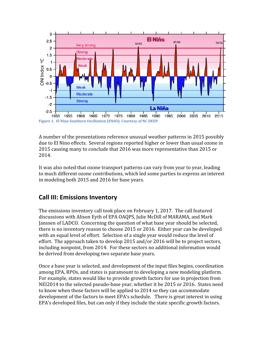

A number of the presentations reference unusual weather patterns in 2015 possibly due to El Nino effects. Several regions reported higher or lower than usual ozone in 2015 causing many to conclude that 2016 was more representative than 2015 or 2014.

It was also noted that ozone transport patterns can vary from year to year, leading to much different ozone contributions, which led some parties to express an interest in modeling both 2015 and 2016 for base years.

## **Call III: Emissions Inventory**

The emissions inventory call took place on February 1, 2017. The call featured discussions with Alison Eyth of EPA OAQPS, Julie McDill of MARAMA, and Mark Janssen of LADCO. Concerning the question of what base year should be selected, there is no inventory reason to choose 2015 or 2016. Either year can be developed with an equal level of effort. Selection of a single year would reduce the level of effort. The approach taken to develop 2015 and/or 2016 will be to project sectors, including nonpoint, from 2014. For these sectors no additional information would be derived from developing two separate base years.

Once a base year is selected, and development of the input files begins, coordination among EPA, RPOs, and states is paramount to developing a new modeling platform. For example, states would like to provide growth factors for use in projection from NEI2014 to the selected pseudo-base year, whether it be 2015 or 2016. States need to know when those factors will be applied to 2014 so they can accommodate development of the factors to meet EPA's schedule. There is great interest in using EPA's developed files, but can only if they include the state specific growth factors.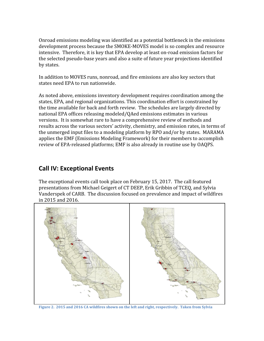Onroad emissions modeling was identified as a potential bottleneck in the emissions development process because the SMOKE-MOVES model is so complex and resource intensive. Therefore, it is key that EPA develop at least on-road emission factors for the selected pseudo-base years and also a suite of future year projections identified by states.

In addition to MOVES runs, nonroad, and fire emissions are also key sectors that states need EPA to run nationwide.

As noted above, emissions inventory development requires coordination among the states, EPA, and regional organizations. This coordination effort is constrained by the time available for back and forth review. The schedules are largely directed by national EPA offices releasing modeled/QAed emissions estimates in various versions. It is somewhat rare to have a comprehensive review of methods and results across the various sectors' activity, chemistry, and emission rates, in terms of the unmerged input files to a modeling platform by RPO and/or by states. MARAMA applies the EMF (Emissions Modeling Framework) for their members to accomplish review of EPA-released platforms; EMF is also already in routine use by OAQPS.

#### **Call IV: Exceptional Events**

The exceptional events call took place on February 15, 2017. The call featured presentations from Michael Geigert of CT DEEP, Erik Gribbin of TCEQ, and Sylvia Vanderspek of CARB. The discussion focused on prevalence and impact of wildfires in 2015 and 2016.



**Figure 2. 2015 and 2016 CA wildfires shown on the left and right, respectively. Taken from Sylvia**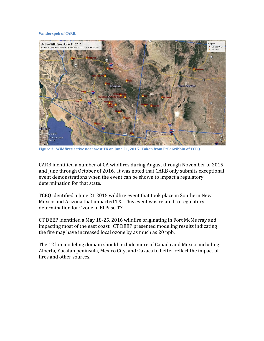#### **Vanderspek of CARB.**



**Figure 3. Wildfires active near west TX on June 21, 2015. Taken from Erik Gribbin of TCEQ.**

CARB identified a number of CA wildfires during August through November of 2015 and June through October of 2016. It was noted that CARB only submits exceptional event demonstrations when the event can be shown to impact a regulatory determination for that state.

TCEQ identified a June 21 2015 wildfire event that took place in Southern New Mexico and Arizona that impacted TX. This event was related to regulatory determination for Ozone in El Paso TX.

CT DEEP identified a May 18-25, 2016 wildfire originating in Fort McMurray and impacting most of the east coast. CT DEEP presented modeling results indicating the fire may have increased local ozone by as much as 20 ppb.

The 12 km modeling domain should include more of Canada and Mexico including Alberta, Yucatan peninsula, Mexico City, and Oaxaca to better reflect the impact of fires and other sources.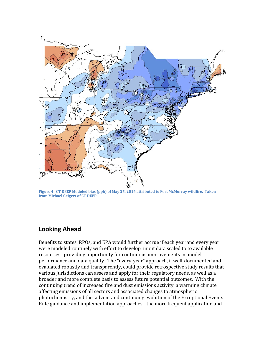

**Figure 4. CT DEEP Modeled bias (ppb) of May 25, 2016 attributed to Fort McMurray wildfire. Taken from Michael Geigert of CT DEEP.**

#### **Looking Ahead**

Benefits to states, RPOs, and EPA would further accrue if each year and every year were modeled routinely with effort to develop input data scaled to to available resources , providing opportunity for continuous improvements in model performance and data quality. The "every-year" approach, if well-documented and evaluated robustly and transparently, could provide retrospective study results that various jurisdictions can assess and apply for their regulatory needs, as well as a broader and more complete basis to assess future potential outcomes. With the continuing trend of increased fire and dust emissions activity, a warming climate affecting emissions of all sectors and associated changes to atmospheric photochemistry, and the advent and continuing evolution of the Exceptional Events Rule guidance and implementation approaches - the more frequent application and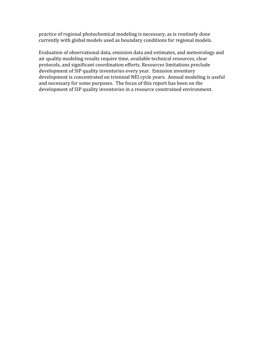practice of regional photochemical modeling is necessary, as is routinely done currently with global models used as boundary conditions for regional models.

Evaluation of observational data, emission data and estimates, and meteorology and air quality modeling results require time, available technical resources, clear protocols, and significant coordination efforts. Resources limitations preclude development of SIP quality inventories every year. Emission inventory development is concentrated on triennial NEI cycle years. Annual modeling is useful and necessary for some purposes. The focus of this report has been on the development of SIP quality inventories in a resource constrained environment.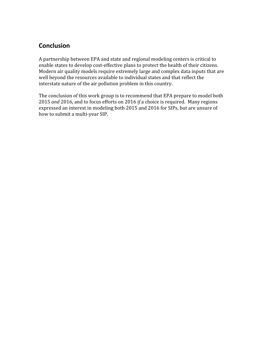## **Conclusion**

A partnership between EPA and state and regional modeling centers is critical to enable states to develop cost-effective plans to protect the health of their citizens. Modern air quality models require extremely large and complex data inputs that are well beyond the resources available to individual states and that reflect the interstate nature of the air pollution problem in this country.

The conclusion of this work group is to recommend that EPA prepare to model both 2015 *and* 2016, and to focus efforts on 2016 *if* a choice is required. Many regions expressed an interest in modeling both 2015 and 2016 for SIPs, but are unsure of how to submit a multi-year SIP.